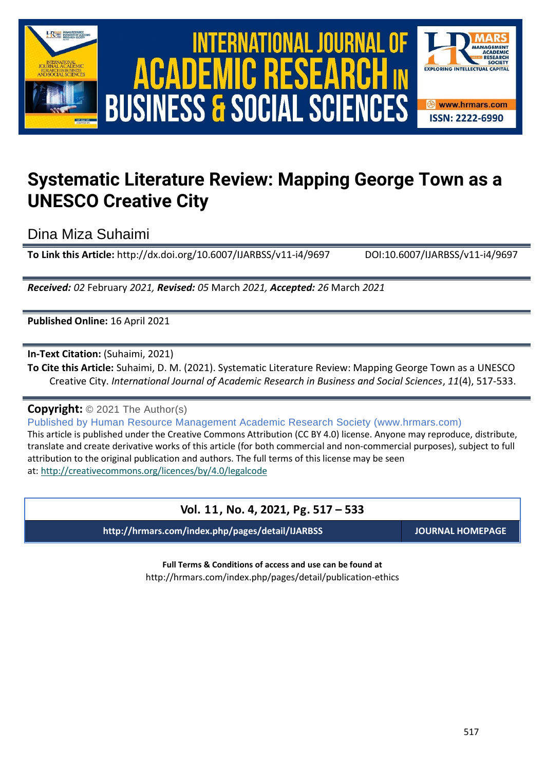

International Journal of Academic Research in Business and Social Sciences **Vol. 1 1 , No. 4, 2021, E-ISSN: 2222-6990 © 2021 HRMARS ACADEMIC BUSINESS & SOCIAL SCIENCES** 



# **Systematic Literature Review: Mapping George Town as a UNESCO Creative City**

Dina Miza Suhaimi

**To Link this Article:** http://dx.doi.org/10.6007/IJARBSS/v11-i4/9697 DOI:10.6007/IJARBSS/v11-i4/9697

*Received: 02* February *2021, Revised: 05* March *2021, Accepted: 26* March *2021*

**Published Online:** 16 April 2021

**In-Text Citation:** (Suhaimi, 2021)

**To Cite this Article:** Suhaimi, D. M. (2021). Systematic Literature Review: Mapping George Town as a UNESCO Creative City. *International Journal of Academic Research in Business and Social Sciences*, *11*(4), 517-533.

## **Copyright:** © 2021 The Author(s)

Published by Human Resource Management Academic Research Society (www.hrmars.com)

This article is published under the Creative Commons Attribution (CC BY 4.0) license. Anyone may reproduce, distribute, translate and create derivative works of this article (for both commercial and non-commercial purposes), subject to full attribution to the original publication and authors. The full terms of this license may be seen at: <http://creativecommons.org/licences/by/4.0/legalcode>

## **Vol. 11, No. 4, 2021, Pg. 517 – 533**

**http://hrmars.com/index.php/pages/detail/IJARBSS JOURNAL HOMEPAGE**

**Full Terms & Conditions of access and use can be found at** http://hrmars.com/index.php/pages/detail/publication-ethics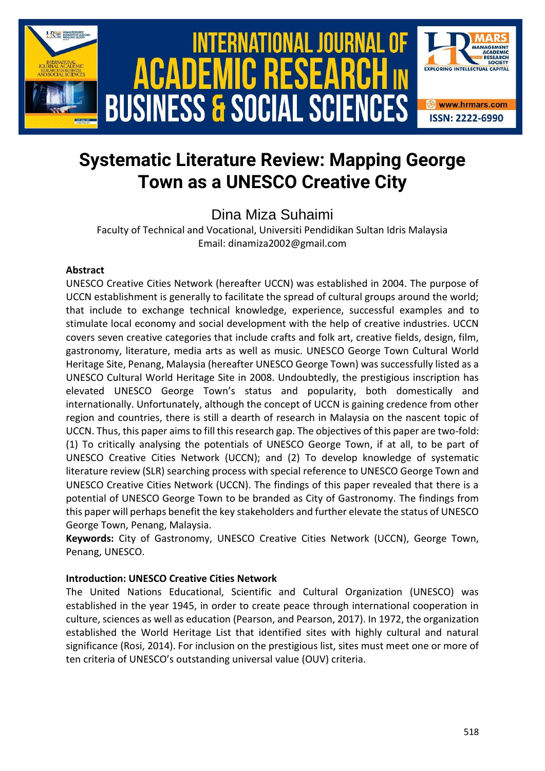

# **Systematic Literature Review: Mapping George Town as a UNESCO Creative City**

Dina Miza Suhaimi

Faculty of Technical and Vocational, Universiti Pendidikan Sultan Idris Malaysia Email: dinamiza2002@gmail.com

## **Abstract**

UNESCO Creative Cities Network (hereafter UCCN) was established in 2004. The purpose of UCCN establishment is generally to facilitate the spread of cultural groups around the world; that include to exchange technical knowledge, experience, successful examples and to stimulate local economy and social development with the help of creative industries. UCCN covers seven creative categories that include crafts and folk art, creative fields, design, film, gastronomy, literature, media arts as well as music. UNESCO George Town Cultural World Heritage Site, Penang, Malaysia (hereafter UNESCO George Town) was successfully listed as a UNESCO Cultural World Heritage Site in 2008. Undoubtedly, the prestigious inscription has elevated UNESCO George Town's status and popularity, both domestically and internationally. Unfortunately, although the concept of UCCN is gaining credence from other region and countries, there is still a dearth of research in Malaysia on the nascent topic of UCCN. Thus, this paper aims to fill this research gap. The objectives of this paper are two-fold: (1) To critically analysing the potentials of UNESCO George Town, if at all, to be part of UNESCO Creative Cities Network (UCCN); and (2) To develop knowledge of systematic literature review (SLR) searching process with special reference to UNESCO George Town and UNESCO Creative Cities Network (UCCN). The findings of this paper revealed that there is a potential of UNESCO George Town to be branded as City of Gastronomy. The findings from this paper will perhaps benefit the key stakeholders and further elevate the status of UNESCO George Town, Penang, Malaysia.

**Keywords:** City of Gastronomy, UNESCO Creative Cities Network (UCCN), George Town, Penang, UNESCO.

## **Introduction: UNESCO Creative Cities Network**

The United Nations Educational, Scientific and Cultural Organization (UNESCO) was established in the year 1945, in order to create peace through international cooperation in culture, sciences as well as education (Pearson, and Pearson, 2017). In 1972, the organization established the World Heritage List that identified sites with highly cultural and natural significance (Rosi, 2014). For inclusion on the prestigious list, sites must meet one or more of ten criteria of UNESCO's outstanding universal value (OUV) criteria.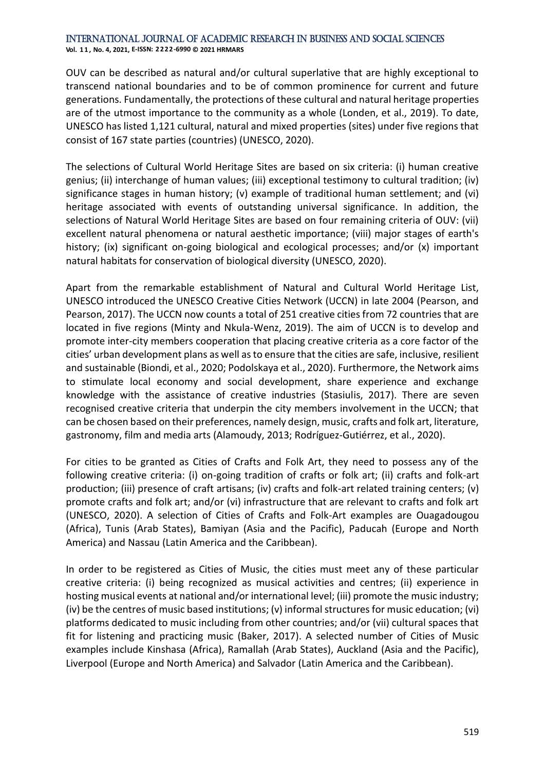**Vol. 1 1 , No. 4, 2021, E-ISSN: 2222-6990 © 2021 HRMARS**

OUV can be described as natural and/or cultural superlative that are highly exceptional to transcend national boundaries and to be of common prominence for current and future generations. Fundamentally, the protections of these cultural and natural heritage properties are of the utmost importance to the community as a whole (Londen, et al., 2019). To date, UNESCO has listed 1,121 cultural, natural and mixed properties (sites) under five regions that consist of 167 state parties (countries) (UNESCO, 2020).

The selections of Cultural World Heritage Sites are based on six criteria: (i) human creative genius; (ii) interchange of human values; (iii) exceptional testimony to cultural tradition; (iv) significance stages in human history; (v) example of traditional human settlement; and (vi) heritage associated with events of outstanding universal significance. In addition, the selections of Natural World Heritage Sites are based on four remaining criteria of OUV: (vii) excellent natural phenomena or natural aesthetic importance; (viii) major stages of earth's history; (ix) significant on-going biological and ecological processes; and/or (x) important natural habitats for conservation of biological diversity (UNESCO, 2020).

Apart from the remarkable establishment of Natural and Cultural World Heritage List, UNESCO introduced the UNESCO Creative Cities Network (UCCN) in late 2004 (Pearson, and Pearson, 2017). The UCCN now counts a total of 251 creative cities from 72 countries that are located in five regions (Minty and Nkula-Wenz, 2019). The aim of UCCN is to develop and promote inter-city members cooperation that placing creative criteria as a core factor of the cities' urban development plans as well as to ensure that the cities are safe, inclusive, resilient and sustainable (Biondi, et al., 2020; Podolskaya et al., 2020). Furthermore, the Network aims to stimulate local economy and social development, share experience and exchange knowledge with the assistance of creative industries (Stasiulis, 2017). There are seven recognised creative criteria that underpin the city members involvement in the UCCN; that can be chosen based on their preferences, namely design, music, crafts and folk art, literature, gastronomy, film and media arts (Alamoudy, 2013; Rodríguez-Gutiérrez, et al., 2020).

For cities to be granted as Cities of Crafts and Folk Art, they need to possess any of the following creative criteria: (i) on-going tradition of crafts or folk art; (ii) crafts and folk-art production; (iii) presence of craft artisans; (iv) crafts and folk-art related training centers; (v) promote crafts and folk art; and/or (vi) infrastructure that are relevant to crafts and folk art (UNESCO, 2020). A selection of Cities of Crafts and Folk-Art examples are Ouagadougou (Africa), Tunis (Arab States), Bamiyan (Asia and the Pacific), Paducah (Europe and North America) and Nassau (Latin America and the Caribbean).

In order to be registered as Cities of Music, the cities must meet any of these particular creative criteria: (i) being recognized as musical activities and centres; (ii) experience in hosting musical events at national and/or international level; (iii) promote the music industry; (iv) be the centres of music based institutions; (v) informal structures for music education; (vi) platforms dedicated to music including from other countries; and/or (vii) cultural spaces that fit for listening and practicing music (Baker, 2017). A selected number of Cities of Music examples include Kinshasa (Africa), Ramallah (Arab States), Auckland (Asia and the Pacific), Liverpool (Europe and North America) and Salvador (Latin America and the Caribbean).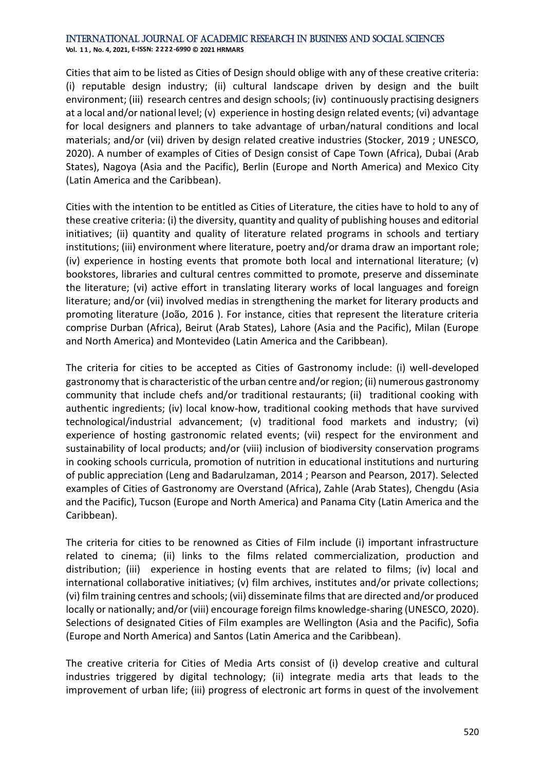Cities that aim to be listed as Cities of Design should oblige with any of these creative criteria: (i) reputable design industry; (ii) cultural landscape driven by design and the built environment; (iii) research centres and design schools; (iv) continuously practising designers at a local and/or national level; (v) experience in hosting design related events; (vi) advantage for local designers and planners to take advantage of urban/natural conditions and local materials; and/or (vii) driven by design related creative industries (Stocker, 2019 ; UNESCO, 2020). A number of examples of Cities of Design consist of Cape Town (Africa), Dubai (Arab States), Nagoya (Asia and the Pacific), Berlin (Europe and North America) and Mexico City (Latin America and the Caribbean).

Cities with the intention to be entitled as Cities of Literature, the cities have to hold to any of these creative criteria: (i) the diversity, quantity and quality of publishing houses and editorial initiatives; (ii) quantity and quality of literature related programs in schools and tertiary institutions; (iii) environment where literature, poetry and/or drama draw an important role; (iv) experience in hosting events that promote both local and international literature; (v) bookstores, libraries and cultural centres committed to promote, preserve and disseminate the literature; (vi) active effort in translating literary works of local languages and foreign literature; and/or (vii) involved medias in strengthening the market for literary products and promoting literature (João, 2016 ). For instance, cities that represent the literature criteria comprise Durban (Africa), Beirut (Arab States), Lahore (Asia and the Pacific), Milan (Europe and North America) and Montevideo (Latin America and the Caribbean).

The criteria for cities to be accepted as Cities of Gastronomy include: (i) well-developed gastronomy that is characteristic of the urban centre and/or region; (ii) numerous gastronomy community that include chefs and/or traditional restaurants; (ii) traditional cooking with authentic ingredients; (iv) local know-how, traditional cooking methods that have survived technological/industrial advancement; (v) traditional food markets and industry; (vi) experience of hosting gastronomic related events; (vii) respect for the environment and sustainability of local products; and/or (viii) inclusion of biodiversity conservation programs in cooking schools curricula, promotion of nutrition in educational institutions and nurturing of public appreciation (Leng and Badarulzaman, 2014 ; Pearson and Pearson, 2017). Selected examples of Cities of Gastronomy are Overstand (Africa), Zahle (Arab States), Chengdu (Asia and the Pacific), Tucson (Europe and North America) and Panama City (Latin America and the Caribbean).

The criteria for cities to be renowned as Cities of Film include (i) important infrastructure related to cinema; (ii) links to the films related commercialization, production and distribution; (iii) experience in hosting events that are related to films; (iv) local and international collaborative initiatives; (v) film archives, institutes and/or private collections; (vi) film training centres and schools; (vii) disseminate films that are directed and/or produced locally or nationally; and/or (viii) encourage foreign films knowledge-sharing (UNESCO, 2020). Selections of designated Cities of Film examples are Wellington (Asia and the Pacific), Sofia (Europe and North America) and Santos (Latin America and the Caribbean).

The creative criteria for Cities of Media Arts consist of (i) develop creative and cultural industries triggered by digital technology; (ii) integrate media arts that leads to the improvement of urban life; (iii) progress of electronic art forms in quest of the involvement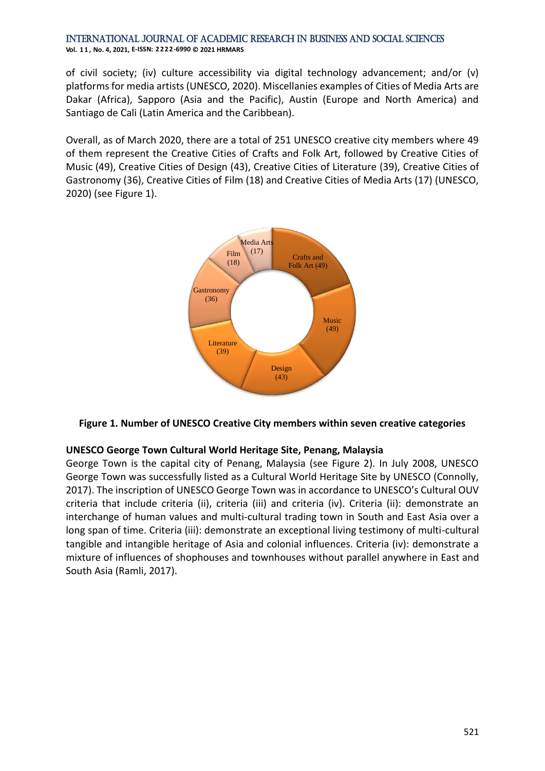of civil society; (iv) culture accessibility via digital technology advancement; and/or (v) platforms for media artists (UNESCO, 2020). Miscellanies examples of Cities of Media Arts are Dakar (Africa), Sapporo (Asia and the Pacific), Austin (Europe and North America) and Santiago de Cali (Latin America and the Caribbean).

Overall, as of March 2020, there are a total of 251 UNESCO creative city members where 49 of them represent the Creative Cities of Crafts and Folk Art, followed by Creative Cities of Music (49), Creative Cities of Design (43), Creative Cities of Literature (39), Creative Cities of Gastronomy (36), Creative Cities of Film (18) and Creative Cities of Media Arts (17) (UNESCO, 2020) (see Figure 1).



## **Figure 1. Number of UNESCO Creative City members within seven creative categories**

## **UNESCO George Town Cultural World Heritage Site, Penang, Malaysia**

George Town is the capital city of Penang, Malaysia (see Figure 2). In July 2008, UNESCO George Town was successfully listed as a Cultural World Heritage Site by UNESCO (Connolly, 2017). The inscription of UNESCO George Town was in accordance to UNESCO's Cultural OUV criteria that include criteria (ii), criteria (iii) and criteria (iv). Criteria (ii): demonstrate an interchange of human values and multi-cultural trading town in South and East Asia over a long span of time. Criteria (iii): demonstrate an exceptional living testimony of multi-cultural tangible and intangible heritage of Asia and colonial influences. Criteria (iv): demonstrate a mixture of influences of shophouses and townhouses without parallel anywhere in East and South Asia (Ramli, 2017).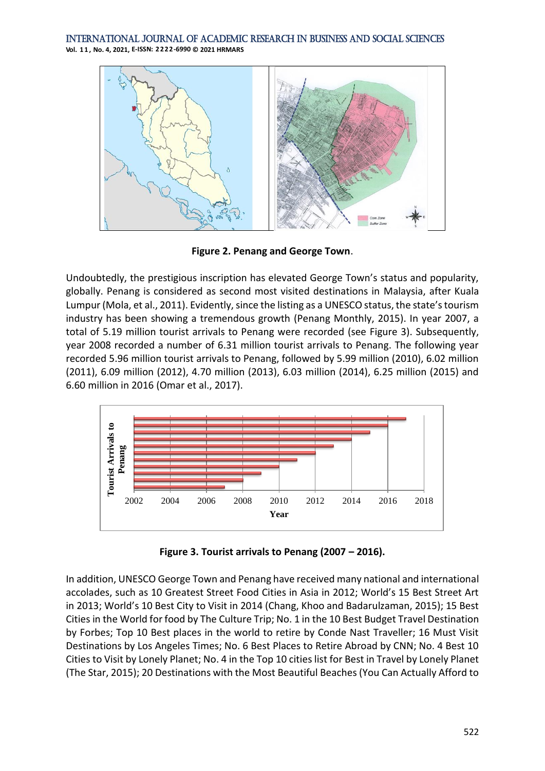

**Figure 2. Penang and George Town**.

Undoubtedly, the prestigious inscription has elevated George Town's status and popularity, globally. Penang is considered as second most visited destinations in Malaysia, after Kuala Lumpur (Mola, et al., 2011). Evidently, since the listing as a UNESCO status, the state's tourism industry has been showing a tremendous growth (Penang Monthly, 2015). In year 2007, a total of 5.19 million tourist arrivals to Penang were recorded (see Figure 3). Subsequently, year 2008 recorded a number of 6.31 million tourist arrivals to Penang. The following year recorded 5.96 million tourist arrivals to Penang, followed by 5.99 million (2010), 6.02 million (2011), 6.09 million (2012), 4.70 million (2013), 6.03 million (2014), 6.25 million (2015) and 6.60 million in 2016 (Omar et al., 2017).



**Figure 3. Tourist arrivals to Penang (2007 – 2016).**

In addition, UNESCO George Town and Penang have received many national and international accolades, such as 10 Greatest Street Food Cities in Asia in 2012; World's 15 Best Street Art in 2013; World's 10 Best City to Visit in 2014 (Chang, Khoo and Badarulzaman, 2015); 15 Best Cities in the World for food by The Culture Trip; No. 1 in the 10 Best Budget Travel Destination by Forbes; Top 10 Best places in the world to retire by Conde Nast Traveller; 16 Must Visit Destinations by Los Angeles Times; No. 6 Best Places to Retire Abroad by CNN; No. 4 Best 10 Cities to Visit by Lonely Planet; No. 4 in the Top 10 cities list for Best in Travel by Lonely Planet (The Star, 2015); 20 Destinations with the Most Beautiful Beaches (You Can Actually Afford to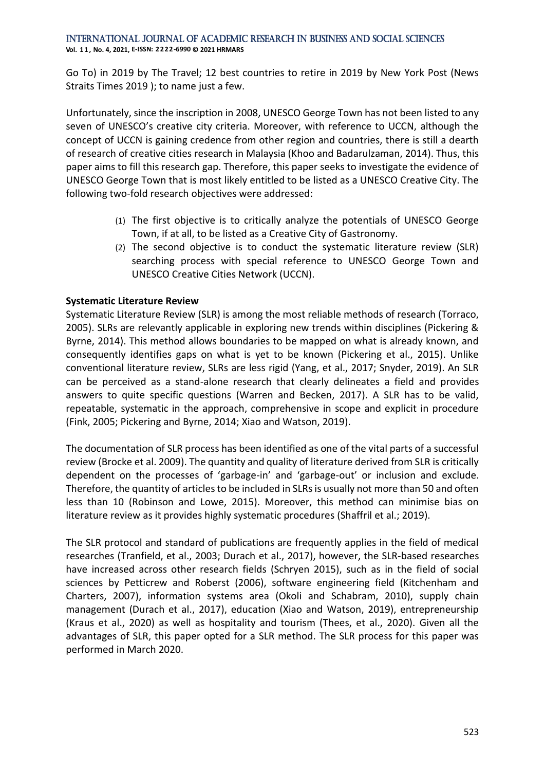Go To) in 2019 by The Travel; 12 best countries to retire in 2019 by New York Post (News Straits Times 2019 ); to name just a few.

Unfortunately, since the inscription in 2008, UNESCO George Town has not been listed to any seven of UNESCO's creative city criteria. Moreover, with reference to UCCN, although the concept of UCCN is gaining credence from other region and countries, there is still a dearth of research of creative cities research in Malaysia (Khoo and Badarulzaman, 2014). Thus, this paper aims to fill this research gap. Therefore, this paper seeks to investigate the evidence of UNESCO George Town that is most likely entitled to be listed as a UNESCO Creative City. The following two-fold research objectives were addressed:

- (1) The first objective is to critically analyze the potentials of UNESCO George Town, if at all, to be listed as a Creative City of Gastronomy.
- (2) The second objective is to conduct the systematic literature review (SLR) searching process with special reference to UNESCO George Town and UNESCO Creative Cities Network (UCCN).

## **Systematic Literature Review**

Systematic Literature Review (SLR) is among the most reliable methods of research (Torraco, 2005). SLRs are relevantly applicable in exploring new trends within disciplines (Pickering & Byrne, 2014). This method allows boundaries to be mapped on what is already known, and consequently identifies gaps on what is yet to be known (Pickering et al., 2015). Unlike conventional literature review, SLRs are less rigid (Yang, et al., 2017; Snyder, 2019). An SLR can be perceived as a stand-alone research that clearly delineates a field and provides answers to quite specific questions (Warren and Becken, 2017). A SLR has to be valid, repeatable, systematic in the approach, comprehensive in scope and explicit in procedure (Fink, 2005; Pickering and Byrne, 2014; Xiao and Watson, 2019).

The documentation of SLR process has been identified as one of the vital parts of a successful review (Brocke et al. 2009). The quantity and quality of literature derived from SLR is critically dependent on the processes of 'garbage-in' and 'garbage-out' or inclusion and exclude. Therefore, the quantity of articles to be included in SLRs is usually not more than 50 and often less than 10 (Robinson and Lowe, 2015). Moreover, this method can minimise bias on literature review as it provides highly systematic procedures (Shaffril et al.; 2019).

The SLR protocol and standard of publications are frequently applies in the field of medical researches (Tranfield, et al., 2003; Durach et al., 2017), however, the SLR-based researches have increased across other research fields (Schryen 2015), such as in the field of social sciences by Petticrew and Roberst (2006), software engineering field (Kitchenham and Charters, 2007), information systems area (Okoli and Schabram, 2010), supply chain management (Durach et al., 2017), education (Xiao and Watson, 2019), entrepreneurship (Kraus et al., 2020) as well as hospitality and tourism (Thees, et al., 2020). Given all the advantages of SLR, this paper opted for a SLR method. The SLR process for this paper was performed in March 2020.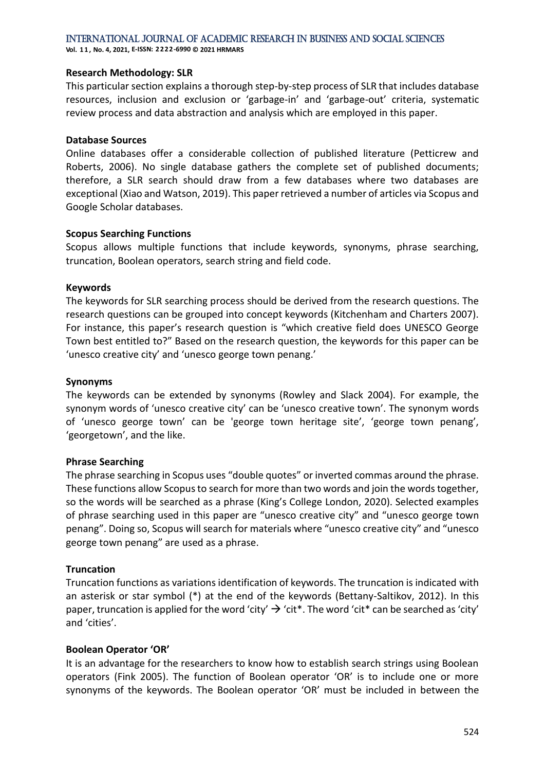**Vol. 1 1 , No. 4, 2021, E-ISSN: 2222-6990 © 2021 HRMARS**

#### **Research Methodology: SLR**

This particular section explains a thorough step-by-step process of SLR that includes database resources, inclusion and exclusion or 'garbage-in' and 'garbage-out' criteria, systematic review process and data abstraction and analysis which are employed in this paper.

#### **Database Sources**

Online databases offer a considerable collection of published literature (Petticrew and Roberts, 2006). No single database gathers the complete set of published documents; therefore, a SLR search should draw from a few databases where two databases are exceptional (Xiao and Watson, 2019). This paper retrieved a number of articles via Scopus and Google Scholar databases.

#### **Scopus Searching Functions**

Scopus allows multiple functions that include keywords, synonyms, phrase searching, truncation, Boolean operators, search string and field code.

#### **Keywords**

The keywords for SLR searching process should be derived from the research questions. The research questions can be grouped into concept keywords (Kitchenham and Charters 2007). For instance, this paper's research question is "which creative field does UNESCO George Town best entitled to?" Based on the research question, the keywords for this paper can be 'unesco creative city' and 'unesco george town penang.'

#### **Synonyms**

The keywords can be extended by synonyms (Rowley and Slack 2004). For example, the synonym words of 'unesco creative city' can be 'unesco creative town'. The synonym words of 'unesco george town' can be 'george town heritage site', 'george town penang', 'georgetown', and the like.

## **Phrase Searching**

The phrase searching in Scopus uses "double quotes" or inverted commas around the phrase. These functions allow Scopus to search for more than two words and join the words together, so the words will be searched as a phrase (King's College London, 2020). Selected examples of phrase searching used in this paper are "unesco creative city" and "unesco george town penang". Doing so, Scopus will search for materials where "unesco creative city" and "unesco george town penang" are used as a phrase.

#### **Truncation**

Truncation functions as variations identification of keywords. The truncation is indicated with an asterisk or star symbol (\*) at the end of the keywords (Bettany-Saltikov, 2012). In this paper, truncation is applied for the word 'city'  $\rightarrow$  'cit<sup>\*</sup>. The word 'cit<sup>\*</sup> can be searched as 'city' and 'cities'.

#### **Boolean Operator 'OR'**

It is an advantage for the researchers to know how to establish search strings using Boolean operators (Fink 2005). The function of Boolean operator 'OR' is to include one or more synonyms of the keywords. The Boolean operator 'OR' must be included in between the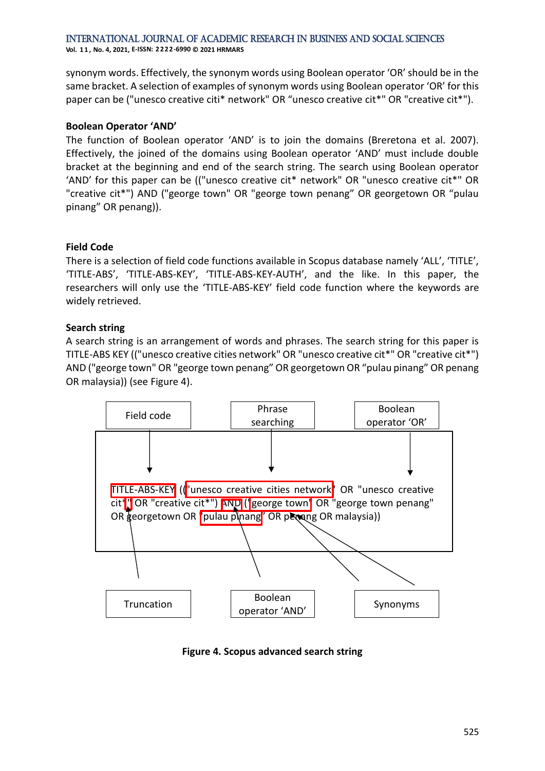synonym words. Effectively, the synonym words using Boolean operator 'OR' should be in the same bracket. A selection of examples of synonym words using Boolean operator 'OR' for this paper can be ("unesco creative citi\* network" OR "unesco creative cit\*" OR "creative cit\*").

## **Boolean Operator 'AND'**

The function of Boolean operator 'AND' is to join the domains (Breretona et al. 2007). Effectively, the joined of the domains using Boolean operator 'AND' must include double bracket at the beginning and end of the search string. The search using Boolean operator 'AND' for this paper can be (("unesco creative cit\* network" OR "unesco creative cit\*" OR "creative cit\*") AND ("george town" OR "george town penang" OR georgetown OR "pulau pinang" OR penang)).

## **Field Code**

There is a selection of field code functions available in Scopus database namely 'ALL', 'TITLE', 'TITLE-ABS', 'TITLE-ABS-KEY', 'TITLE-ABS-KEY-AUTH', and the like. In this paper, the researchers will only use the 'TITLE-ABS-KEY' field code function where the keywords are widely retrieved.

## **Search string**

A search string is an arrangement of words and phrases. The search string for this paper is TITLE-ABS KEY (("unesco creative cities network" OR "unesco creative cit\*" OR "creative cit\*") AND ("george town" OR "george town penang" OR georgetown OR "pulau pinang" OR penang OR malaysia)) (see Figure 4).



**Figure 4. Scopus advanced search string**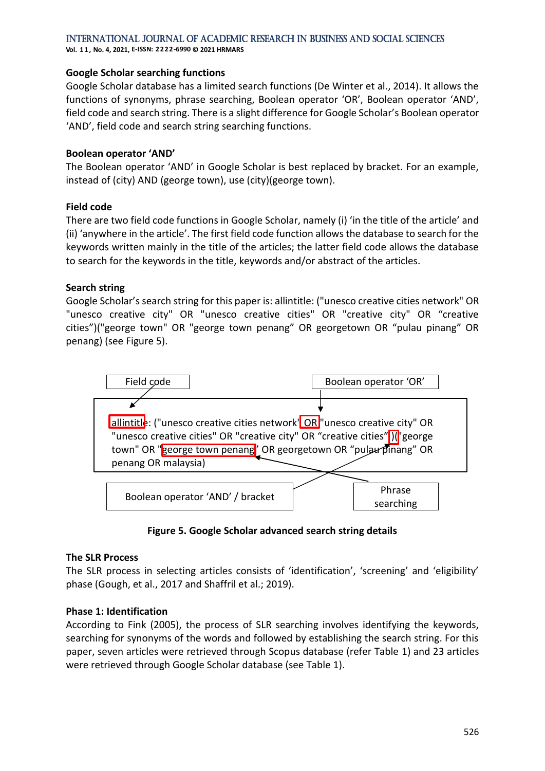**Vol. 1 1 , No. 4, 2021, E-ISSN: 2222-6990 © 2021 HRMARS**

#### **Google Scholar searching functions**

Google Scholar database has a limited search functions (De Winter et al., 2014). It allows the functions of synonyms, phrase searching, Boolean operator 'OR', Boolean operator 'AND', field code and search string. There is a slight difference for Google Scholar's Boolean operator 'AND', field code and search string searching functions.

## **Boolean operator 'AND'**

The Boolean operator 'AND' in Google Scholar is best replaced by bracket. For an example, instead of (city) AND (george town), use (city)(george town).

## **Field code**

There are two field code functions in Google Scholar, namely (i) 'in the title of the article' and (ii) 'anywhere in the article'. The first field code function allows the database to search for the keywords written mainly in the title of the articles; the latter field code allows the database to search for the keywords in the title, keywords and/or abstract of the articles.

## **Search string**

Google Scholar's search string for this paper is: allintitle: ("unesco creative cities network" OR "unesco creative city" OR "unesco creative cities" OR "creative city" OR "creative cities")("george town" OR "george town penang" OR georgetown OR "pulau pinang" OR penang) (see Figure 5).



## **Figure 5. Google Scholar advanced search string details**

#### **The SLR Process**

The SLR process in selecting articles consists of 'identification', 'screening' and 'eligibility' phase (Gough, et al., 2017 and Shaffril et al.; 2019).

#### **Phase 1: Identification**

According to Fink (2005), the process of SLR searching involves identifying the keywords, searching for synonyms of the words and followed by establishing the search string. For this paper, seven articles were retrieved through Scopus database (refer Table 1) and 23 articles were retrieved through Google Scholar database (see Table 1).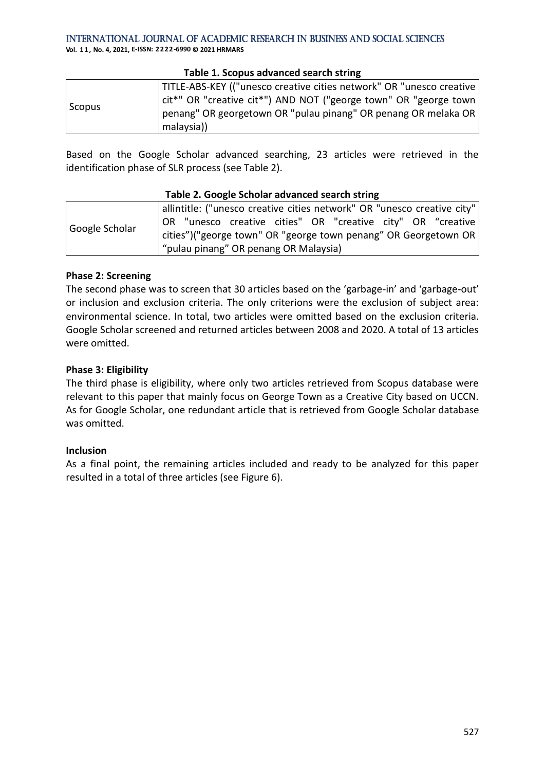#### **Table 1. Scopus advanced search string**

| Scopus | TITLE-ABS-KEY (("unesco creative cities network" OR "unesco creative<br>  cit*" OR "creative cit*") AND NOT ("george town" OR "george town b<br> penang" OR georgetown OR "pulau pinang" OR penang OR melaka OR  <br>malaysia)) |
|--------|---------------------------------------------------------------------------------------------------------------------------------------------------------------------------------------------------------------------------------|
|--------|---------------------------------------------------------------------------------------------------------------------------------------------------------------------------------------------------------------------------------|

Based on the Google Scholar advanced searching, 23 articles were retrieved in the identification phase of SLR process (see Table 2).

## **Table 2. Google Scholar advanced search string**

|                | allintitle: ("unesco creative cities network" OR "unesco creative city" |
|----------------|-------------------------------------------------------------------------|
|                | OR "unesco creative cities" OR "creative city" OR "creative             |
| Google Scholar | cities")("george town" OR "george town penang" OR Georgetown OR         |
|                | "pulau pinang" OR penang OR Malaysia)                                   |

## **Phase 2: Screening**

The second phase was to screen that 30 articles based on the 'garbage-in' and 'garbage-out' or inclusion and exclusion criteria. The only criterions were the exclusion of subject area: environmental science. In total, two articles were omitted based on the exclusion criteria. Google Scholar screened and returned articles between 2008 and 2020. A total of 13 articles were omitted.

## **Phase 3: Eligibility**

The third phase is eligibility, where only two articles retrieved from Scopus database were relevant to this paper that mainly focus on George Town as a Creative City based on UCCN. As for Google Scholar, one redundant article that is retrieved from Google Scholar database was omitted.

## **Inclusion**

As a final point, the remaining articles included and ready to be analyzed for this paper resulted in a total of three articles (see Figure 6).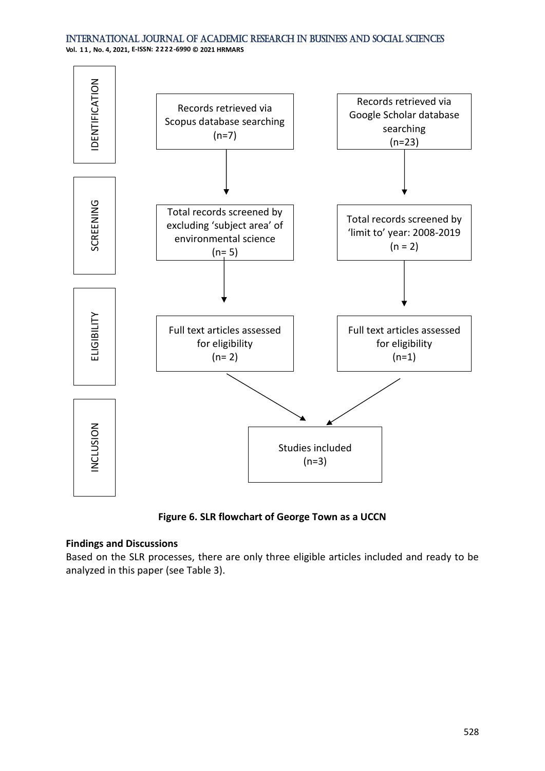**Vol. 1 1 , No. 4, 2021, E-ISSN: 2222-6990 © 2021 HRMARS**



**Figure 6. SLR flowchart of George Town as a UCCN**

## **Findings and Discussions**

Based on the SLR processes, there are only three eligible articles included and ready to be analyzed in this paper (see Table 3).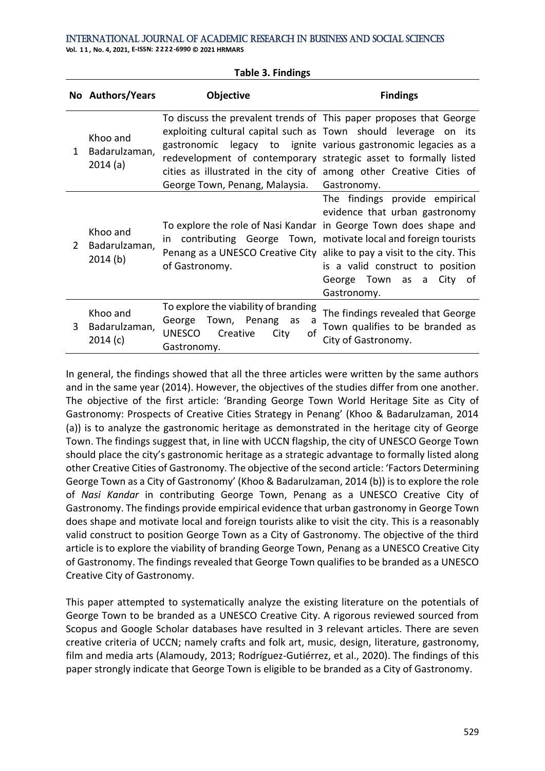**Vol. 1 1 , No. 4, 2021, E-ISSN: 2222-6990 © 2021 HRMARS**

| <b>Table 3. Findings</b> |                                      |                                                                                                                                     |                                                                                                                                                                                                                                                                                                                                                                       |  |
|--------------------------|--------------------------------------|-------------------------------------------------------------------------------------------------------------------------------------|-----------------------------------------------------------------------------------------------------------------------------------------------------------------------------------------------------------------------------------------------------------------------------------------------------------------------------------------------------------------------|--|
|                          | No Authors/Years                     | <b>Objective</b>                                                                                                                    | <b>Findings</b>                                                                                                                                                                                                                                                                                                                                                       |  |
| 1                        | Khoo and<br>Badarulzaman,<br>2014(a) | gastronomic<br>George Town, Penang, Malaysia.                                                                                       | To discuss the prevalent trends of This paper proposes that George<br>exploiting cultural capital such as Town should leverage on its<br>legacy to ignite various gastronomic legacies as a<br>redevelopment of contemporary strategic asset to formally listed<br>cities as illustrated in the city of among other Creative Cities of<br>Gastronomy.                 |  |
| $\overline{2}$           | Khoo and<br>Badarulzaman,<br>2014(b) | of Gastronomy.                                                                                                                      | The findings provide empirical<br>evidence that urban gastronomy<br>To explore the role of Nasi Kandar in George Town does shape and<br>in contributing George Town, motivate local and foreign tourists<br>Penang as a UNESCO Creative City alike to pay a visit to the city. This<br>is a valid construct to position<br>George Town as a<br>City of<br>Gastronomy. |  |
| 3                        | Khoo and<br>Badarulzaman,<br>2014(c) | To explore the viability of branding<br>George<br>Town, Penang<br>as<br>a<br>of<br><b>UNESCO</b><br>Creative<br>City<br>Gastronomy. | The findings revealed that George<br>Town qualifies to be branded as<br>City of Gastronomy.                                                                                                                                                                                                                                                                           |  |

In general, the findings showed that all the three articles were written by the same authors and in the same year (2014). However, the objectives of the studies differ from one another. The objective of the first article: 'Branding George Town World Heritage Site as City of Gastronomy: Prospects of Creative Cities Strategy in Penang' (Khoo & Badarulzaman, 2014 (a)) is to analyze the gastronomic heritage as demonstrated in the heritage city of George Town. The findings suggest that, in line with UCCN flagship, the city of UNESCO George Town should place the city's gastronomic heritage as a strategic advantage to formally listed along other Creative Cities of Gastronomy. The objective of the second article: 'Factors Determining George Town as a City of Gastronomy' (Khoo & Badarulzaman, 2014 (b)) is to explore the role of *Nasi Kandar* in contributing George Town, Penang as a UNESCO Creative City of Gastronomy. The findings provide empirical evidence that urban gastronomy in George Town does shape and motivate local and foreign tourists alike to visit the city. This is a reasonably valid construct to position George Town as a City of Gastronomy. The objective of the third article is to explore the viability of branding George Town, Penang as a UNESCO Creative City of Gastronomy. The findings revealed that George Town qualifies to be branded as a UNESCO Creative City of Gastronomy.

This paper attempted to systematically analyze the existing literature on the potentials of George Town to be branded as a UNESCO Creative City. A rigorous reviewed sourced from Scopus and Google Scholar databases have resulted in 3 relevant articles. There are seven creative criteria of UCCN; namely crafts and folk art, music, design, literature, gastronomy, film and media arts (Alamoudy, 2013; Rodríguez-Gutiérrez, et al., 2020). The findings of this paper strongly indicate that George Town is eligible to be branded as a City of Gastronomy.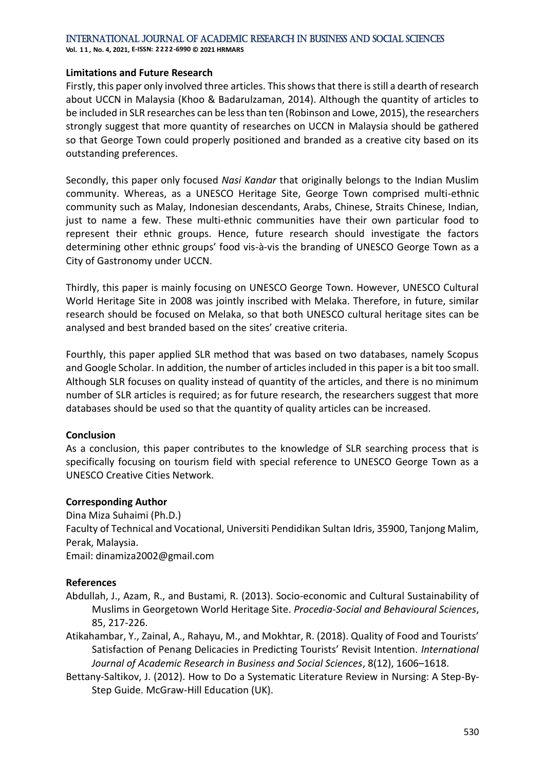**Vol. 1 1 , No. 4, 2021, E-ISSN: 2222-6990 © 2021 HRMARS**

#### **Limitations and Future Research**

Firstly, this paper only involved three articles. This shows that there is still a dearth of research about UCCN in Malaysia (Khoo & Badarulzaman, 2014). Although the quantity of articles to be included in SLR researches can be less than ten (Robinson and Lowe, 2015), the researchers strongly suggest that more quantity of researches on UCCN in Malaysia should be gathered so that George Town could properly positioned and branded as a creative city based on its outstanding preferences.

Secondly, this paper only focused *Nasi Kandar* that originally belongs to the Indian Muslim community. Whereas, as a UNESCO Heritage Site, George Town comprised multi-ethnic community such as Malay, Indonesian descendants, Arabs, Chinese, Straits Chinese, Indian, just to name a few. These multi-ethnic communities have their own particular food to represent their ethnic groups. Hence, future research should investigate the factors determining other ethnic groups' food vis-à-vis the branding of UNESCO George Town as a City of Gastronomy under UCCN.

Thirdly, this paper is mainly focusing on UNESCO George Town. However, UNESCO Cultural World Heritage Site in 2008 was jointly inscribed with Melaka. Therefore, in future, similar research should be focused on Melaka, so that both UNESCO cultural heritage sites can be analysed and best branded based on the sites' creative criteria.

Fourthly, this paper applied SLR method that was based on two databases, namely Scopus and Google Scholar. In addition, the number of articles included in this paper is a bit too small. Although SLR focuses on quality instead of quantity of the articles, and there is no minimum number of SLR articles is required; as for future research, the researchers suggest that more databases should be used so that the quantity of quality articles can be increased.

## **Conclusion**

As a conclusion, this paper contributes to the knowledge of SLR searching process that is specifically focusing on tourism field with special reference to UNESCO George Town as a UNESCO Creative Cities Network.

## **Corresponding Author**

Dina Miza Suhaimi (Ph.D.) Faculty of Technical and Vocational, Universiti Pendidikan Sultan Idris, 35900, Tanjong Malim, Perak, Malaysia. Email: dinamiza2002@gmail.com

## **References**

- Abdullah, J., Azam, R., and Bustami, R. (2013). Socio-economic and Cultural Sustainability of Muslims in Georgetown World Heritage Site. *Procedia-Social and Behavioural Sciences*, 85, 217-226.
- Atikahambar, Y., Zainal, A., Rahayu, M., and Mokhtar, R. (2018). Quality of Food and Tourists' Satisfaction of Penang Delicacies in Predicting Tourists' Revisit Intention. *International Journal of Academic Research in Business and Social Sciences*, 8(12), 1606–1618.
- Bettany-Saltikov, J. (2012). How to Do a Systematic Literature Review in Nursing: A Step-By-Step Guide. McGraw-Hill Education (UK).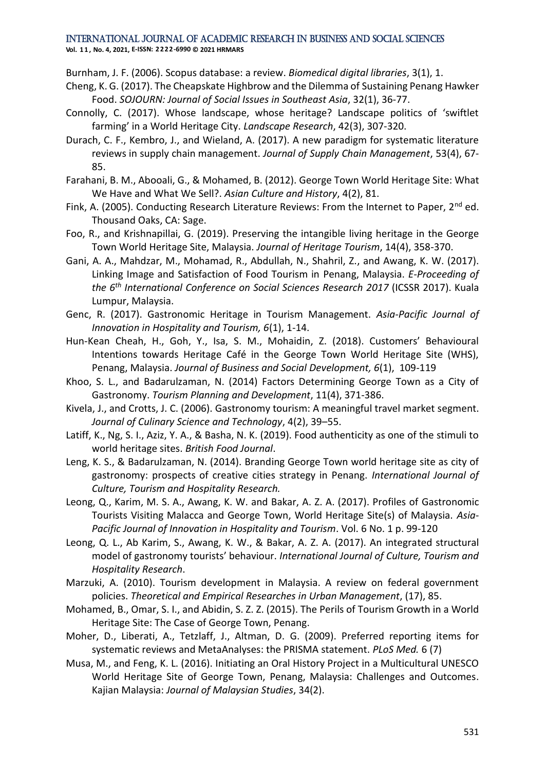**Vol. 1 1 , No. 4, 2021, E-ISSN: 2222-6990 © 2021 HRMARS**

Burnham, J. F. (2006). Scopus database: a review. *Biomedical digital libraries*, 3(1), 1.

- Cheng, K. G. (2017). The Cheapskate Highbrow and the Dilemma of Sustaining Penang Hawker Food. *SOJOURN: Journal of Social Issues in Southeast Asia*, 32(1), 36-77.
- Connolly, C. (2017). Whose landscape, whose heritage? Landscape politics of 'swiftlet farming' in a World Heritage City. *Landscape Research*, 42(3), 307-320.
- Durach, C. F., Kembro, J., and Wieland, A. (2017). A new paradigm for systematic literature reviews in supply chain management. *Journal of Supply Chain Management*, 53(4), 67- 85.
- Farahani, B. M., Abooali, G., & Mohamed, B. (2012). George Town World Heritage Site: What We Have and What We Sell?. *Asian Culture and History*, 4(2), 81.
- Fink, A. (2005). Conducting Research Literature Reviews: From the Internet to Paper, 2<sup>nd</sup> ed. Thousand Oaks, CA: Sage.
- Foo, R., and Krishnapillai, G. (2019). Preserving the intangible living heritage in the George Town World Heritage Site, Malaysia. *Journal of Heritage Tourism*, 14(4), 358-370.
- Gani, A. A., Mahdzar, M., Mohamad, R., Abdullah, N., Shahril, Z., and Awang, K. W. (2017). Linking Image and Satisfaction of Food Tourism in Penang, Malaysia. *E-Proceeding of the 6th International Conference on Social Sciences Research 2017* (ICSSR 2017). Kuala Lumpur, Malaysia.
- Genc, R. (2017). Gastronomic Heritage in Tourism Management. *Asia-Pacific Journal of Innovation in Hospitality and Tourism, 6*(1), 1-14.
- Hun-Kean Cheah, H., Goh, Y., Isa, S. M., Mohaidin, Z. (2018). Customers' Behavioural Intentions towards Heritage Café in the George Town World Heritage Site (WHS), Penang, Malaysia. *Journal of Business and Social Development, 6*(1), 109-119
- Khoo, S. L., and Badarulzaman, N. (2014) Factors Determining George Town as a City of Gastronomy. *Tourism Planning and Development*, 11(4), 371-386.
- Kivela, J., and Crotts, J. C. (2006). Gastronomy tourism: A meaningful travel market segment. *Journal of Culinary Science and Technology*, 4(2), 39–55.
- Latiff, K., Ng, S. I., Aziz, Y. A., & Basha, N. K. (2019). Food authenticity as one of the stimuli to world heritage sites. *British Food Journal*.
- Leng, K. S., & Badarulzaman, N. (2014). Branding George Town world heritage site as city of gastronomy: prospects of creative cities strategy in Penang. *International Journal of Culture, Tourism and Hospitality Research.*
- Leong, Q., Karim, M. S. A., Awang, K. W. and Bakar, A. Z. A. (2017). Profiles of Gastronomic Tourists Visiting Malacca and George Town, World Heritage Site(s) of Malaysia. *Asia-Pacific Journal of Innovation in Hospitality and Tourism*. Vol. 6 No. 1 p. 99-120
- Leong, Q. L., Ab Karim, S., Awang, K. W., & Bakar, A. Z. A. (2017). An integrated structural model of gastronomy tourists' behaviour. *International Journal of Culture, Tourism and Hospitality Research*.
- Marzuki, A. (2010). Tourism development in Malaysia. A review on federal government policies. *Theoretical and Empirical Researches in Urban Management*, (17), 85.
- Mohamed, B., Omar, S. I., and Abidin, S. Z. Z. (2015). The Perils of Tourism Growth in a World Heritage Site: The Case of George Town, Penang.
- Moher, D., Liberati, A., Tetzlaff, J., Altman, D. G. (2009). Preferred reporting items for systematic reviews and MetaAnalyses: the PRISMA statement. *PLoS Med.* 6 (7)
- Musa, M., and Feng, K. L. (2016). Initiating an Oral History Project in a Multicultural UNESCO World Heritage Site of George Town, Penang, Malaysia: Challenges and Outcomes. Kajian Malaysia: *Journal of Malaysian Studies*, 34(2).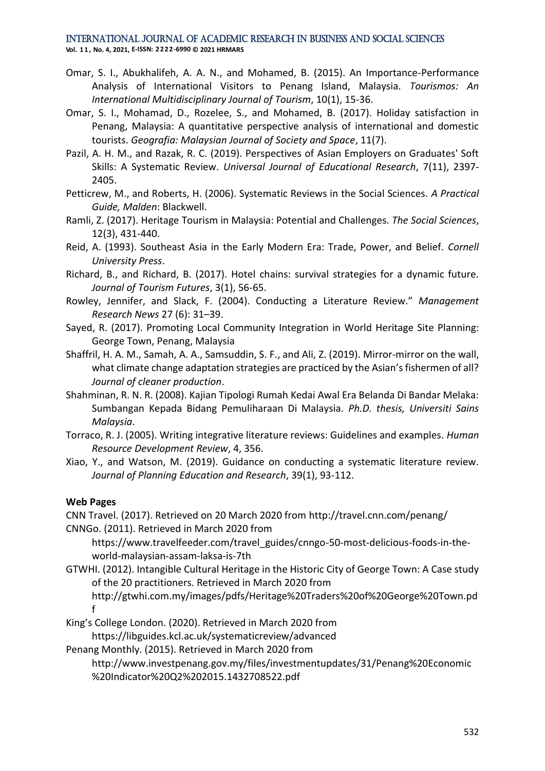**Vol. 1 1 , No. 4, 2021, E-ISSN: 2222-6990 © 2021 HRMARS**

- Omar, S. I., Abukhalifeh, A. A. N., and Mohamed, B. (2015). An Importance-Performance Analysis of International Visitors to Penang Island, Malaysia. *Tourismos: An International Multidisciplinary Journal of Tourism*, 10(1), 15-36.
- Omar, S. I., Mohamad, D., Rozelee, S., and Mohamed, B. (2017). Holiday satisfaction in Penang, Malaysia: A quantitative perspective analysis of international and domestic tourists. *Geografia: Malaysian Journal of Society and Space*, 11(7).
- Pazil, A. H. M., and Razak, R. C. (2019). Perspectives of Asian Employers on Graduates' Soft Skills: A Systematic Review. *Universal Journal of Educational Research*, 7(11), 2397- 2405.
- Petticrew, M., and Roberts, H. (2006). Systematic Reviews in the Social Sciences. *A Practical Guide, Malden*: Blackwell.
- Ramli, Z. (2017). Heritage Tourism in Malaysia: Potential and Challenges. *The Social Sciences*, 12(3), 431-440.
- Reid, A. (1993). Southeast Asia in the Early Modern Era: Trade, Power, and Belief. *Cornell University Press*.
- Richard, B., and Richard, B. (2017). Hotel chains: survival strategies for a dynamic future. *Journal of Tourism Futures*, 3(1), 56-65.
- Rowley, Jennifer, and Slack, F. (2004). Conducting a Literature Review." *Management Research News* 27 (6): 31–39.
- Sayed, R. (2017). Promoting Local Community Integration in World Heritage Site Planning: George Town, Penang, Malaysia
- Shaffril, H. A. M., Samah, A. A., Samsuddin, S. F., and Ali, Z. (2019). Mirror-mirror on the wall, what climate change adaptation strategies are practiced by the Asian's fishermen of all? *Journal of cleaner production*.
- Shahminan, R. N. R. (2008). Kajian Tipologi Rumah Kedai Awal Era Belanda Di Bandar Melaka: Sumbangan Kepada Bidang Pemuliharaan Di Malaysia. *Ph.D. thesis, Universiti Sains Malaysia*.
- Torraco, R. J. (2005). Writing integrative literature reviews: Guidelines and examples. *Human Resource Development Review*, 4, 356.
- Xiao, Y., and Watson, M. (2019). Guidance on conducting a systematic literature review. *Journal of Planning Education and Research*, 39(1), 93-112.

## **Web Pages**

CNN Travel. (2017). Retrieved on 20 March 2020 from http://travel.cnn.com/penang/ CNNGo. (2011). Retrieved in March 2020 from

https://www.travelfeeder.com/travel\_guides/cnngo-50-most-delicious-foods-in-theworld-malaysian-assam-laksa-is-7th

GTWHI. (2012). Intangible Cultural Heritage in the Historic City of George Town: A Case study of the 20 practitioners. Retrieved in March 2020 from

http://gtwhi.com.my/images/pdfs/Heritage%20Traders%20of%20George%20Town.pd f

King's College London. (2020). Retrieved in March 2020 from https://libguides.kcl.ac.uk/systematicreview/advanced

Penang Monthly. (2015). Retrieved in March 2020 from http://www.investpenang.gov.my/files/investmentupdates/31/Penang%20Economic %20Indicator%20Q2%202015.1432708522.pdf